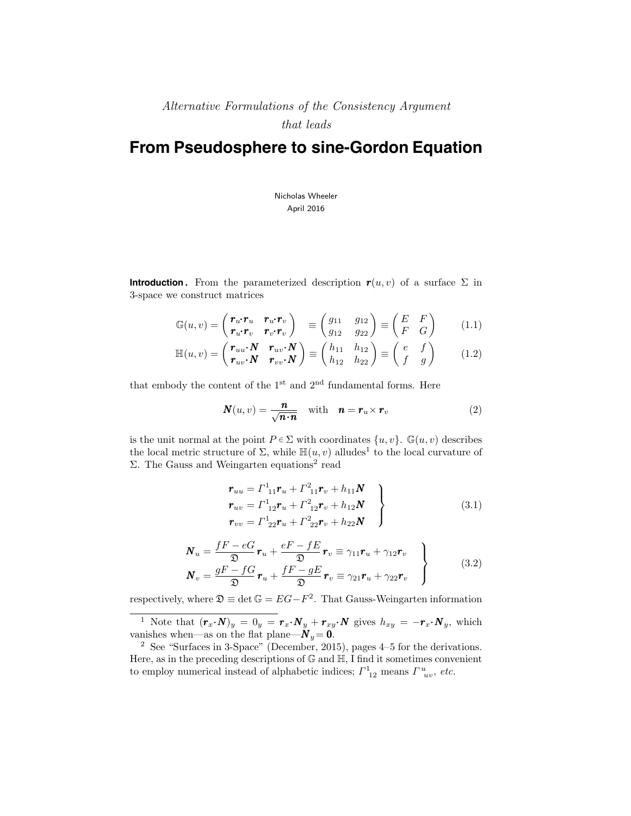Alternative Formulations of the Consistency Argument that leads

# **From Pseudosphere to sine-Gordon Equation**

Nicholas Wheeler April 2016

**Introduction.** From the parameterized description  $r(u, v)$  of a surface  $\Sigma$  in 3-space we construct matrices

$$
\mathbb{G}(u,v) = \begin{pmatrix} \mathbf{r}_u \cdot \mathbf{r}_u & \mathbf{r}_u \cdot \mathbf{r}_v \\ \mathbf{r}_u \cdot \mathbf{r}_v & \mathbf{r}_v \cdot \mathbf{r}_v \end{pmatrix} \equiv \begin{pmatrix} g_{11} & g_{12} \\ g_{12} & g_{22} \end{pmatrix} \equiv \begin{pmatrix} E & F \\ F & G \end{pmatrix} \tag{1.1}
$$

$$
\mathbb{H}(u,v) = \begin{pmatrix} \mathbf{r}_{uv} \cdot \mathbf{N} & \mathbf{r}_{uv} \cdot \mathbf{N} \\ \mathbf{r}_{uv} \cdot \mathbf{N} & \mathbf{r}_{vv} \cdot \mathbf{N} \end{pmatrix} \equiv \begin{pmatrix} h_{11} & h_{12} \\ h_{12} & h_{22} \end{pmatrix} \equiv \begin{pmatrix} e & f \\ f & g \end{pmatrix}
$$
(1.2)

that embody the content of the  $1<sup>st</sup>$  and  $2<sup>nd</sup>$  fundamental forms. Here

$$
\mathbf{N}(u,v) = \frac{\mathbf{n}}{\sqrt{\mathbf{n} \cdot \mathbf{n}}} \quad \text{with} \quad \mathbf{n} = \mathbf{r}_u \times \mathbf{r}_v \tag{2}
$$

is the unit normal at the point  $P \in \Sigma$  with coordinates  $\{u, v\}$ .  $\mathbb{G}(u, v)$  describes the local metric structure of  $\Sigma$ , while  $\mathbb{H}(u, v)$  alludes<sup>1</sup> to the local curvature of Σ. The Gauss and Weingarten equations<sup>2</sup> read

$$
\begin{aligned}\n\mathbf{r}_{uu} &= \Gamma^1_{11} \mathbf{r}_u + \Gamma^2_{11} \mathbf{r}_v + h_{11} \mathbf{N} \\
\mathbf{r}_{uv} &= \Gamma^1_{12} \mathbf{r}_u + \Gamma^2_{12} \mathbf{r}_v + h_{12} \mathbf{N} \\
\mathbf{r}_{vv} &= \Gamma^1_{22} \mathbf{r}_u + \Gamma^2_{22} \mathbf{r}_v + h_{22} \mathbf{N}\n\end{aligned}\n\tag{3.1}
$$

$$
\boldsymbol{N}_u = \frac{fF - eG}{\mathfrak{D}} \boldsymbol{r}_u + \frac{eF - fE}{\mathfrak{D}} \boldsymbol{r}_v \equiv \gamma_{11} \boldsymbol{r}_u + \gamma_{12} \boldsymbol{r}_v
$$
\n
$$
\boldsymbol{N}_v = \frac{gF - fG}{\mathfrak{D}} \boldsymbol{r}_u + \frac{fF - gE}{\mathfrak{D}} \boldsymbol{r}_v \equiv \gamma_{21} \boldsymbol{r}_u + \gamma_{22} \boldsymbol{r}_v
$$
\n(3.2)

respectively, where  $\mathfrak{D} \equiv \det \mathbb{G} = EG - F^2$ . That Gauss-Weingarten information

<sup>&</sup>lt;sup>1</sup> Note that  $(\mathbf{r}_x \cdot \mathbf{N})_y = 0_y = \mathbf{r}_x \cdot \mathbf{N}_y + \mathbf{r}_{xy} \cdot \mathbf{N}$  gives  $h_{xy} = -\mathbf{r}_x \cdot \mathbf{N}_y$ , which vanishes when—as on the flat plane— $\mathbf{N}_y = 0$ .

 $\overline{P}$  See "Surfaces in 3-Space" (December, 2015), pages 4–5 for the derivations. Here, as in the preceding descriptions of  $\mathbb{G}$  and  $\mathbb{H}$ , I find it sometimes convenient to employ numerical instead of alphabetic indices;  $\Gamma^1_{12}$  means  $\Gamma^u_{uv}$ , etc.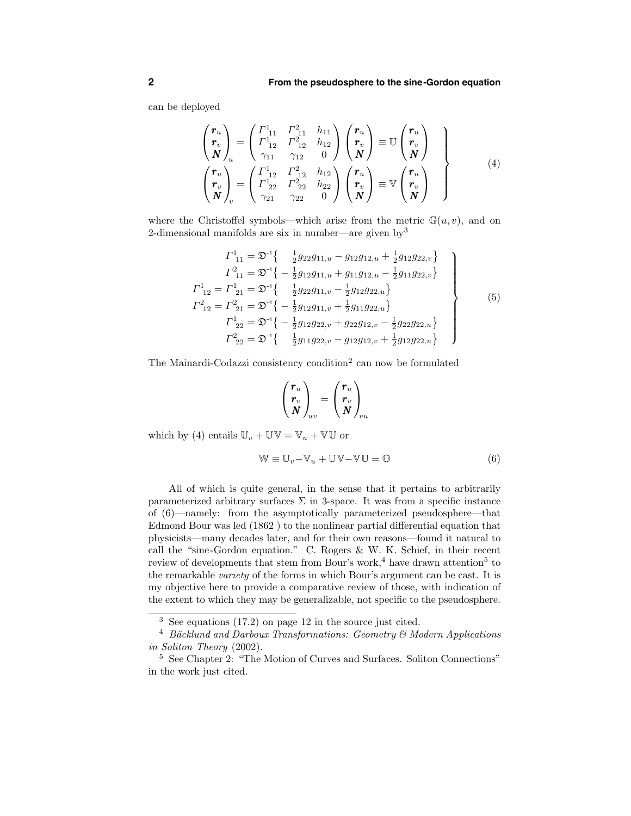can be deployed

$$
\begin{pmatrix}\n\mathbf{r}_{u} \\
\mathbf{r}_{v} \\
\mathbf{N}\n\end{pmatrix}_{u} = \begin{pmatrix}\n\Gamma_{11}^{1} & \Gamma_{11}^{2} & h_{11} \\
\Gamma_{12}^{1} & \Gamma_{12}^{2} & h_{12} \\
\gamma_{11} & \gamma_{12} & 0\n\end{pmatrix}\n\begin{pmatrix}\n\mathbf{r}_{u} \\
\mathbf{r}_{v} \\
\mathbf{N}\n\end{pmatrix} \equiv \mathbb{U}\begin{pmatrix}\n\mathbf{r}_{u} \\
\mathbf{r}_{v} \\
\mathbf{N}\n\end{pmatrix}
$$
\n
$$
\begin{pmatrix}\n\mathbf{r}_{u} \\
\mathbf{r}_{v} \\
\mathbf{r}_{v} \\
\mathbf{N}\n\end{pmatrix}_{v} = \begin{pmatrix}\n\Gamma_{12}^{1} & \Gamma_{12}^{2} & h_{12} \\
\Gamma_{22}^{1} & \Gamma_{22}^{2} & h_{22} \\
\gamma_{21} & \gamma_{22} & 0\n\end{pmatrix}\n\begin{pmatrix}\n\mathbf{r}_{u} \\
\mathbf{r}_{v} \\
\mathbf{N}\n\end{pmatrix} \equiv \mathbb{V}\begin{pmatrix}\n\mathbf{r}_{u} \\
\mathbf{r}_{v} \\
\mathbf{N}\n\end{pmatrix}
$$
\n(4)

where the Christoffel symbols—which arise from the metric  $\mathbb{G}(u, v)$ , and on 2-dimensional manifolds are six in number—are given by  $3$ 

$$
\Gamma^{1}_{11} = \mathfrak{D}^{-1} \left\{ \begin{array}{c} \frac{1}{2} g_{22} g_{11,u} - g_{12} g_{12,u} + \frac{1}{2} g_{12} g_{22,v} \end{array} \right\}
$$
\n
$$
\Gamma^{2}_{11} = \mathfrak{D}^{-1} \left\{ -\frac{1}{2} g_{12} g_{11,u} + g_{11} g_{12,u} - \frac{1}{2} g_{11} g_{22,v} \right\}
$$
\n
$$
\Gamma^{1}_{12} = \Gamma^{1}_{21} = \mathfrak{D}^{-1} \left\{ \begin{array}{c} \frac{1}{2} g_{22} g_{11,v} - \frac{1}{2} g_{12} g_{22,u} \end{array} \right\}
$$
\n
$$
\Gamma^{2}_{12} = \Gamma^{2}_{21} = \mathfrak{D}^{-1} \left\{ -\frac{1}{2} g_{12} g_{21,v} + \frac{1}{2} g_{11} g_{22,u} \right\}
$$
\n
$$
\Gamma^{1}_{22} = \mathfrak{D}^{-1} \left\{ -\frac{1}{2} g_{12} g_{22,v} + g_{22} g_{12,v} - \frac{1}{2} g_{22} g_{22,u} \right\}
$$
\n
$$
\Gamma^{2}_{22} = \mathfrak{D}^{-1} \left\{ \begin{array}{c} \frac{1}{2} g_{11} g_{22,v} - g_{12} g_{12,v} + \frac{1}{2} g_{12} g_{22,u} \end{array} \right\}
$$
\n
$$
(5)
$$

The Mainardi-Codazzi consistency condition<sup>2</sup> can now be formulated

$$
\begin{pmatrix} \boldsymbol{r}_u \\ \boldsymbol{r}_v \\ \boldsymbol{N} \end{pmatrix}_{\!\!uv} = \begin{pmatrix} \boldsymbol{r}_u \\ \boldsymbol{r}_v \\ \boldsymbol{N} \end{pmatrix}_{\!\!vu}
$$

which by (4) entails  $\mathbb{U}_v + \mathbb{U}\mathbb{V} = \mathbb{V}_u + \mathbb{V}\mathbb{U}$  or

$$
\mathbb{W} \equiv \mathbb{U}_v - \mathbb{V}_u + \mathbb{U}\mathbb{V} - \mathbb{V}\mathbb{U} = \mathbb{O}
$$
 (6)

All of which is quite general, in the sense that it pertains to arbitrarily parameterized arbitrary surfaces  $\Sigma$  in 3-space. It was from a specific instance of (6)—namely: from the asymptotically parameterized pseudosphere—that Edmond Bour was led (1862 ) to the nonlinear partial differential equation that physicists—many decades later, and for their own reasons—found it natural to call the "sine-Gordon equation." C. Rogers & W. K. Schief, in their recent review of developments that stem from Bour's work,<sup>4</sup> have drawn attention<sup>5</sup> to the remarkable variety of the forms in which Bour's argument can be cast. It is my objective here to provide a comparative review of those, with indication of the extent to which they may be generalizable, not specific to the pseudosphere.

<sup>3</sup> See equations (17.2) on page 12 in the source just cited.

 $^4\;$  Bäcklund and Darboux Transformations: Geometry  $\mathcal C$  Modern Applications in Soliton Theory (2002).

<sup>5</sup> See Chapter 2: "The Motion of Curves and Surfaces. Soliton Connections" in the work just cited.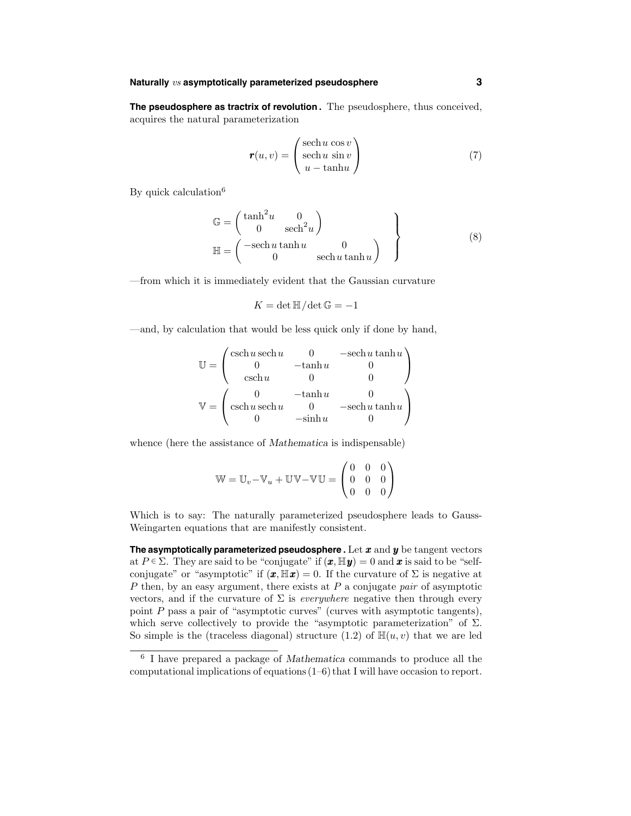**The pseudosphere as tractrix of revolution .** The pseudosphere, thus conceived, acquires the natural parameterization

$$
\mathbf{r}(u,v) = \begin{pmatrix} \text{sech}\,u\,\cos v \\ \text{sech}\,u\,\sin v \\ u - \tanh u \end{pmatrix} \tag{7}
$$

By quick calculation $6$ 

$$
\mathbb{G} = \begin{pmatrix} \tanh^2 u & 0 \\ 0 & \operatorname{sech}^2 u \end{pmatrix}
$$
  
\n
$$
\mathbb{H} = \begin{pmatrix} -\operatorname{sech} u \tanh u & 0 \\ 0 & \operatorname{sech} u \tanh u \end{pmatrix}
$$
\n(8)

—from which it is immediately evident that the Gaussian curvature

$$
K=\det \mathbb{H}/\det \mathbb{G}=-1
$$

—and, by calculation that would be less quick only if done by hand,

$$
\mathbb{U} = \begin{pmatrix}\text{csch}\,u \,\,\text{sech}\,u & 0 & -\text{sech}\,u \,\,\text{tanh}\,u \\ 0 & -\text{tanh}\,u & 0 \\ \text{csch}\,u & 0 & 0 \end{pmatrix}
$$
\n
$$
\mathbb{V} = \begin{pmatrix}\n0 & -\text{tanh}\,u & 0 \\ \text{csch}\,u \,\,\text{sech}\,u & 0 & -\text{sech}\,u \,\,\text{tanh}\,u \\ 0 & -\text{sinh}\,u & 0\n\end{pmatrix}
$$

whence (here the assistance of Mathematica is indispensable)

$$
\mathbb{W}=\mathbb{U}_v-\mathbb{V}_u+\mathbb{U}\mathbb{V}-\mathbb{V}\mathbb{U}=\begin{pmatrix}0&0&0\\0&0&0\\0&0&0\end{pmatrix}
$$

Which is to say: The naturally parameterized pseudosphere leads to Gauss-Weingarten equations that are manifestly consistent.

**The asymptotically parameterized pseudosphere .** Let x and y be tangent vectors at  $P \in \Sigma$ . They are said to be "conjugate" if  $(\mathbf{x}, \mathbb{H}\mathbf{y}) = 0$  and  $\mathbf{x}$  is said to be "selfconjugate" or "asymptotic" if  $(\mathbf{x}, \mathbb{H}\mathbf{x}) = 0$ . If the curvature of  $\Sigma$  is negative at  $P$  then, by an easy argument, there exists at  $P$  a conjugate pair of asymptotic vectors, and if the curvature of  $\Sigma$  is *everywhere* negative then through every point  $P$  pass a pair of "asymptotic curves" (curves with asymptotic tangents), which serve collectively to provide the "asymptotic parameterization" of  $\Sigma$ . So simple is the (traceless diagonal) structure  $(1.2)$  of  $\mathbb{H}(u, v)$  that we are led

<sup>6</sup> I have prepared a package of Mathematica commands to produce all the computational implications of equations  $(1-6)$  that I will have occasion to report.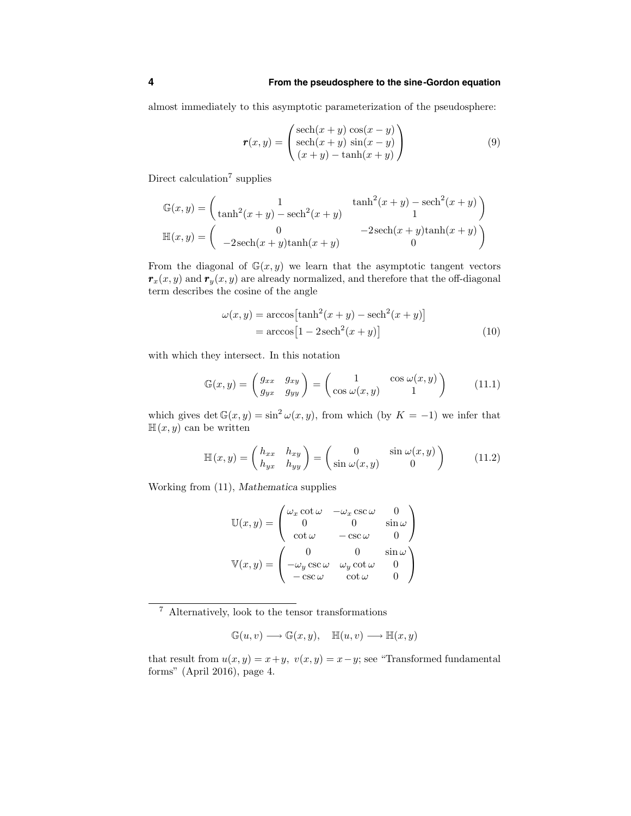almost immediately to this asymptotic parameterization of the pseudosphere:

$$
\mathbf{r}(x,y) = \begin{pmatrix} \text{sech}(x+y) \cos(x-y) \\ \text{sech}(x+y) \sin(x-y) \\ (x+y) - \tanh(x+y) \end{pmatrix}
$$
(9)

Direct calculation<sup>7</sup> supplies

$$
\mathbb{G}(x,y) = \begin{pmatrix} 1 & \tanh^2(x+y) - \mathrm{sech}^2(x+y) \\ \tanh^2(x+y) - \mathrm{sech}^2(x+y) & 1 \end{pmatrix}
$$

$$
\mathbb{H}(x,y) = \begin{pmatrix} 0 & -2\mathrm{sech}(x+y)\tanh(x+y) \\ -2\mathrm{sech}(x+y)\tanh(x+y) & 0 \end{pmatrix}
$$

From the diagonal of  $\mathbb{G}(x, y)$  we learn that the asymptotic tangent vectors  $\mathbf{r}_x(x, y)$  and  $\mathbf{r}_y(x, y)$  are already normalized, and therefore that the off-diagonal term describes the cosine of the angle

$$
\omega(x, y) = \arccos\left[\tanh^2(x+y) - \mathrm{sech}^2(x+y)\right]
$$

$$
= \arccos\left[1 - 2\mathrm{sech}^2(x+y)\right]
$$
(10)

with which they intersect. In this notation

$$
\mathbb{G}(x,y) = \begin{pmatrix} g_{xx} & g_{xy} \\ g_{yx} & g_{yy} \end{pmatrix} = \begin{pmatrix} 1 & \cos \omega(x,y) \\ \cos \omega(x,y) & 1 \end{pmatrix}
$$
 (11.1)

which gives det  $\mathbb{G}(x, y) = \sin^2 \omega(x, y)$ , from which (by  $K = -1$ ) we infer that  $\mathbb{H}(x, y)$  can be written

$$
\mathbb{H}(x,y) = \begin{pmatrix} h_{xx} & h_{xy} \\ h_{yx} & h_{yy} \end{pmatrix} = \begin{pmatrix} 0 & \sin \omega(x,y) \\ \sin \omega(x,y) & 0 \end{pmatrix}
$$
(11.2)

Working from (11), Mathematica supplies

$$
\mathbb{U}(x,y) = \begin{pmatrix}\n\omega_x \cot \omega & -\omega_x \csc \omega & 0 \\
0 & 0 & \sin \omega \\
\cot \omega & -\csc \omega & 0\n\end{pmatrix}
$$

$$
\mathbb{V}(x,y) = \begin{pmatrix}\n0 & 0 & \sin \omega \\
-\omega_y \csc \omega & \omega_y \cot \omega & 0 \\
-\csc \omega & \cot \omega & 0\n\end{pmatrix}
$$

 $\overline{7}$  Alternatively, look to the tensor transformations

$$
\mathbb{G}(u,v) \longrightarrow \mathbb{G}(x,y), \quad \mathbb{H}(u,v) \longrightarrow \mathbb{H}(x,y)
$$

that result from  $u(x, y) = x+y$ ,  $v(x, y) = x-y$ ; see "Transformed fundamental forms" (April 2016), page 4.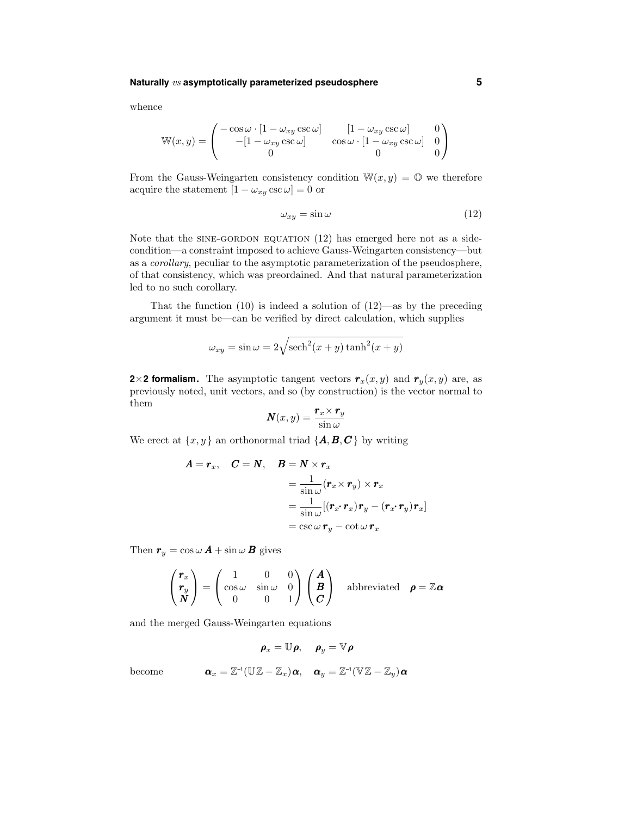## **Naturally** vs **asymptotically parameterized pseudosphere 5**

whence

$$
\mathbb{W}(x,y) = \begin{pmatrix} -\cos\omega \cdot [1 - \omega_{xy} \csc\omega] & [1 - \omega_{xy} \csc\omega] & 0\\ -[1 - \omega_{xy} \csc\omega] & \cos\omega \cdot [1 - \omega_{xy} \csc\omega] & 0\\ 0 & 0 & 0 \end{pmatrix}
$$

From the Gauss-Weingarten consistency condition  $W(x, y) = 0$  we therefore acquire the statement  $[1 - \omega_{xy} \csc \omega] = 0$  or

$$
\omega_{xy} = \sin \omega \tag{12}
$$

Note that the SINE-GORDON EQUATION  $(12)$  has emerged here not as a sidecondition—a constraint imposed to achieve Gauss-Weingarten consistency—but as a corollary, peculiar to the asymptotic parameterization of the pseudosphere, of that consistency, which was preordained. And that natural parameterization led to no such corollary.

That the function  $(10)$  is indeed a solution of  $(12)$ —as by the preceding argument it must be—can be verified by direct calculation, which supplies

$$
\omega_{xy} = \sin \omega = 2\sqrt{\text{sech}^2(x+y)\tanh^2(x+y)}
$$

**2**×**2 formalism.** The asymptotic tangent vectors  $\mathbf{r}_x(x, y)$  and  $\mathbf{r}_y(x, y)$  are, as previously noted, unit vectors, and so (by construction) is the vector normal to them

$$
\mathbf{N}(x,y) = \frac{\mathbf{r}_x \times \mathbf{r}_y}{\sin \omega}
$$

We erect at  $\{x, y\}$  an orthonormal triad  $\{\boldsymbol{A}, \boldsymbol{B}, \boldsymbol{C}\}$  by writing

$$
A = r_x, \quad C = N, \quad B = N \times r_x
$$
  
=  $\frac{1}{\sin \omega} (r_x \times r_y) \times r_x$   
=  $\frac{1}{\sin \omega} [(r_x \cdot r_x) r_y - (r_x \cdot r_y) r_x]$   
=  $\csc \omega r_y - \cot \omega r_x$ 

Then  $r_y = \cos \omega \mathbf{A} + \sin \omega \mathbf{B}$  gives

$$
\begin{pmatrix} \mathbf{r}_x \\ \mathbf{r}_y \\ \mathbf{N} \end{pmatrix} = \begin{pmatrix} 1 & 0 & 0 \\ \cos \omega & \sin \omega & 0 \\ 0 & 0 & 1 \end{pmatrix} \begin{pmatrix} \mathbf{A} \\ \mathbf{B} \\ \mathbf{C} \end{pmatrix} \text{ abbreviated } \boldsymbol{\rho} = \mathbb{Z} \boldsymbol{\alpha}
$$

and the merged Gauss-Weingarten equations

$$
\boldsymbol{\rho}_x = \mathbb{U} \boldsymbol{\rho}, \quad \boldsymbol{\rho}_y = \mathbb{V} \boldsymbol{\rho}
$$

become 
$$
\boldsymbol{\alpha}_x = \mathbb{Z}^{-1}(\mathbb{U}\mathbb{Z} - \mathbb{Z}_x)\boldsymbol{\alpha}, \quad \boldsymbol{\alpha}_y = \mathbb{Z}^{-1}(\mathbb{V}\mathbb{Z} - \mathbb{Z}_y)\boldsymbol{\alpha}
$$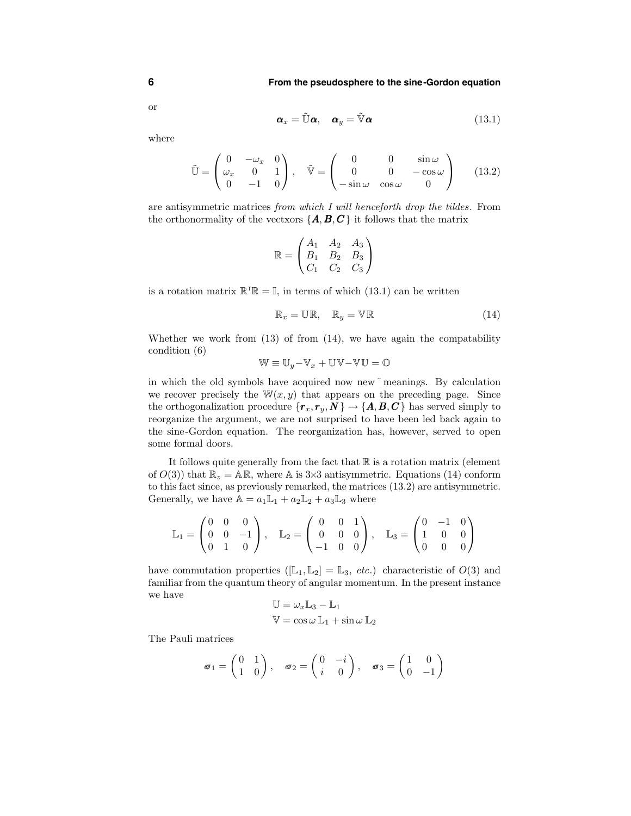#### **6 From the pseudosphere to the sine-Gordon equation**

or

$$
\boldsymbol{\alpha}_x = \tilde{\mathbb{U}} \boldsymbol{\alpha}, \quad \boldsymbol{\alpha}_y = \tilde{\mathbb{V}} \boldsymbol{\alpha}
$$
 (13.1)

where

$$
\tilde{\mathbb{U}} = \begin{pmatrix} 0 & -\omega_x & 0 \\ \omega_x & 0 & 1 \\ 0 & -1 & 0 \end{pmatrix}, \quad \tilde{\mathbb{V}} = \begin{pmatrix} 0 & 0 & \sin \omega \\ 0 & 0 & -\cos \omega \\ -\sin \omega & \cos \omega & 0 \end{pmatrix}
$$
 (13.2)

are antisymmetric matrices from which I will henceforth drop the tildes. From the orthonormality of the vectxors  $\{A, B, C\}$  it follows that the matrix

$$
\mathbb{R} = \begin{pmatrix} A_1 & A_2 & A_3 \\ B_1 & B_2 & B_3 \\ C_1 & C_2 & C_3 \end{pmatrix}
$$

is a rotation matrix  $\mathbb{R}^T \mathbb{R} = \mathbb{I}$ , in terms of which (13.1) can be written

$$
\mathbb{R}_x = \mathbb{U}\mathbb{R}, \quad \mathbb{R}_y = \mathbb{V}\mathbb{R} \tag{14}
$$

Whether we work from  $(13)$  of from  $(14)$ , we have again the compatability condition (6)

$$
\mathbb{W} \equiv \mathbb{U}_y - \mathbb{V}_x + \mathbb{U}\mathbb{V} - \mathbb{V}\mathbb{U} = \mathbb{O}
$$

in which the old symbols have acquired now new ˜ meanings. By calculation we recover precisely the  $W(x, y)$  that appears on the preceding page. Since the orthogonalization procedure  $\{r_x, r_y, N\} \rightarrow \{A, B, C\}$  has served simply to reorganize the argument, we are not surprised to have been led back again to the sine-Gordon equation. The reorganization has, however, served to open some formal doors.

It follows quite generally from the fact that  $\mathbb R$  is a rotation matrix (element of  $O(3)$ ) that  $\mathbb{R}_z = \mathbb{AR}$ , where  $\mathbb{A}$  is 3×3 antisymmetric. Equations (14) conform to this fact since, as previously remarked, the matrices (13.2) are antisymmetric. Generally, we have  $\mathbb{A} = a_1 \mathbb{L}_1 + a_2 \mathbb{L}_2 + a_3 \mathbb{L}_3$  where

$$
\mathbb{L}_1 = \begin{pmatrix} 0 & 0 & 0 \\ 0 & 0 & -1 \\ 0 & 1 & 0 \end{pmatrix}, \quad \mathbb{L}_2 = \begin{pmatrix} 0 & 0 & 1 \\ 0 & 0 & 0 \\ -1 & 0 & 0 \end{pmatrix}, \quad \mathbb{L}_3 = \begin{pmatrix} 0 & -1 & 0 \\ 1 & 0 & 0 \\ 0 & 0 & 0 \end{pmatrix}
$$

have commutation properties ( $[\mathbb{L}_1,\mathbb{L}_2] = \mathbb{L}_3$ , *etc.*) characteristic of  $O(3)$  and familiar from the quantum theory of angular momentum. In the present instance we have

$$
U = \omega_x L_3 - L_1
$$
  
 
$$
V = \cos \omega L_1 + \sin \omega L_2
$$

The Pauli matrices

$$
\boldsymbol{\sigma}_1 = \begin{pmatrix} 0 & 1 \\ 1 & 0 \end{pmatrix}, \quad \boldsymbol{\sigma}_2 = \begin{pmatrix} 0 & -i \\ i & 0 \end{pmatrix}, \quad \boldsymbol{\sigma}_3 = \begin{pmatrix} 1 & 0 \\ 0 & -1 \end{pmatrix}
$$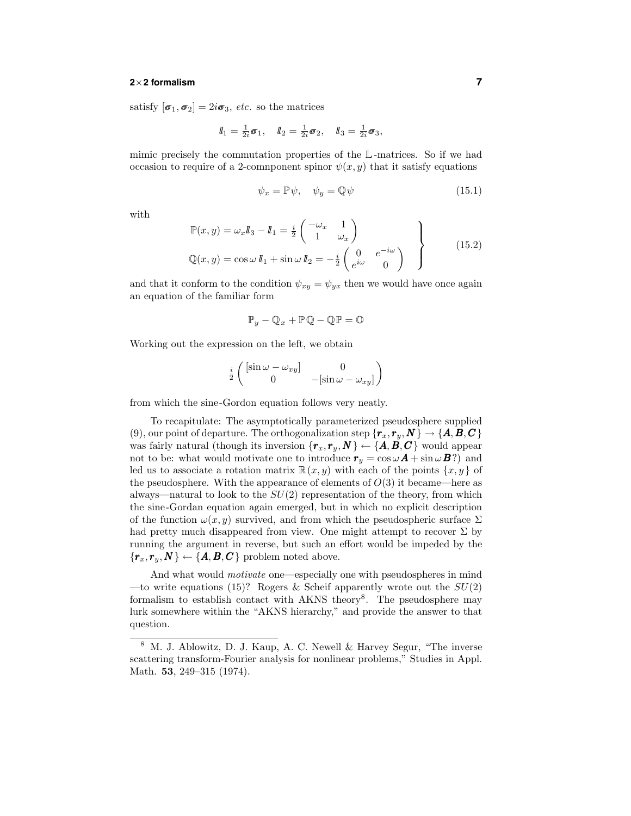# **<sup>2</sup>**×**<sup>2</sup> formalism 7**

satisfy  $[\sigma_1, \sigma_2] = 2i\sigma_3$ , *etc.* so the matrices

$$
ll_1 = \frac{1}{2i}\sigma_1
$$
,  $ll_2 = \frac{1}{2i}\sigma_2$ ,  $ll_3 = \frac{1}{2i}\sigma_3$ ,

mimic precisely the commutation properties of the  $\mathbb L$ -matrices. So if we had occasion to require of a 2-comnponent spinor  $\psi(x, y)$  that it satisfy equations

$$
\psi_x = \mathbb{P}\psi, \quad \psi_y = \mathbb{Q}\psi \tag{15.1}
$$

with

$$
\mathbb{P}(x, y) = \omega_x \mathbb{I}_3 - \mathbb{I}_1 = \frac{i}{2} \begin{pmatrix} -\omega_x & 1\\ 1 & \omega_x \end{pmatrix}
$$
  

$$
\mathbb{Q}(x, y) = \cos \omega \mathbb{I}_1 + \sin \omega \mathbb{I}_2 = -\frac{i}{2} \begin{pmatrix} 0 & e^{-i\omega} \\ e^{i\omega} & 0 \end{pmatrix}
$$
 (15.2)

and that it conform to the condition  $\psi_{xy} = \psi_{yx}$  then we would have once again an equation of the familiar form

$$
\mathbb{P}_y - \mathbb{Q}_x + \mathbb{P}\mathbb{Q} - \mathbb{Q}\mathbb{P} = \mathbb{O}
$$

Working out the expression on the left, we obtain

$$
\frac{i}{2}\begin{pmatrix}\begin{bmatrix}\sin\omega-\omega_{xy}\end{bmatrix} & 0\\0 & -\begin{bmatrix}\sin\omega-\omega_{xy}\end{bmatrix}\end{pmatrix}
$$

from which the sine-Gordon equation follows very neatly.

To recapitulate: The asymptotically parameterized pseudosphere supplied (9), our point of departure. The orthogonalization step  $\{r_x, r_y, N\} \rightarrow \{A, B, C\}$ was fairly natural (though its inversion  $\{r_x, r_y, N\} \leftarrow \{A, B, C\}$  would appear not to be: what would motivate one to introduce  $r_y = \cos \omega A + \sin \omega B$ ?) and led us to associate a rotation matrix  $\mathbb{R}(x, y)$  with each of the points  $\{x, y\}$  of the pseudosphere. With the appearance of elements of  $O(3)$  it became—here as always—natural to look to the  $SU(2)$  representation of the theory, from which the sine-Gordan equation again emerged, but in which no explicit description of the function  $\omega(x, y)$  survived, and from which the pseudospheric surface  $\Sigma$ had pretty much disappeared from view. One might attempt to recover  $\Sigma$  by running the argument in reverse, but such an effort would be impeded by the  ${\lbrace \pmb{r}_x, \pmb{r}_y, \pmb{N} \rbrace} \leftarrow {\lbrace \pmb{A}, \pmb{B}, \pmb{C} \rbrace}$  problem noted above.

And what would *motivate* one—especially one with pseudospheres in mind —to write equations (15)? Rogers & Scheif apparently wrote out the  $SU(2)$ formalism to establish contact with  $AKNS$  theory<sup>8</sup>. The pseudosphere may lurk somewhere within the "AKNS hierarchy," and provide the answer to that question.

<sup>8</sup> M. J. Ablowitz, D. J. Kaup, A. C. Newell & Harvey Segur, "The inverse scattering transform-Fourier analysis for nonlinear problems," Studies in Appl. Math. 53, 249–315 (1974).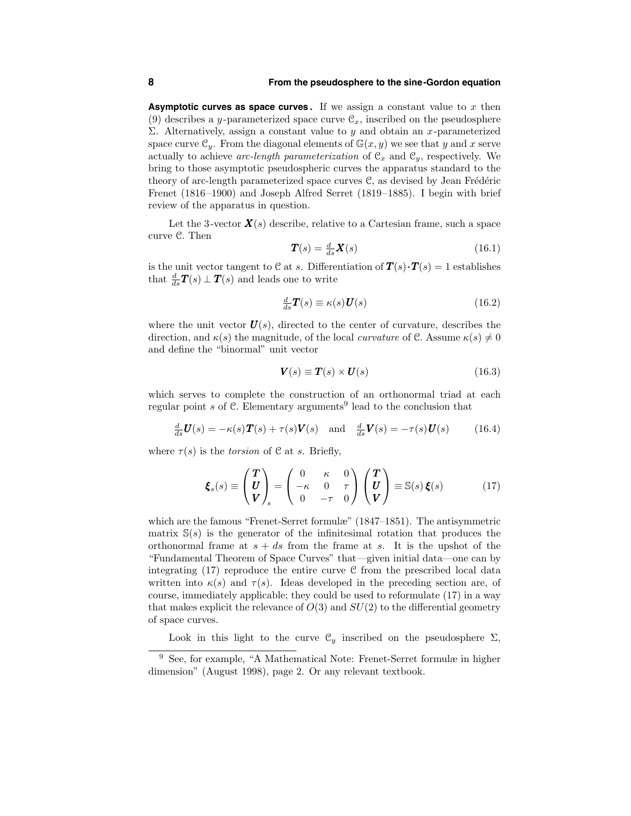### **8 From the pseudosphere to the sine-Gordon equation**

**Asymptotic curves as space curves .** If we assign a constant value to x then (9) describes a y-parameterized space curve  $\mathcal{C}_x$ , inscribed on the pseudosphere Σ. Alternatively, assign a constant value to y and obtain an x-parameterized space curve  $\mathcal{C}_y$ . From the diagonal elements of  $\mathbb{G}(x, y)$  we see that y and x serve actually to achieve arc-length parameterization of  $\mathcal{C}_x$  and  $\mathcal{C}_y$ , respectively. We bring to those asymptotic pseudospheric curves the apparatus standard to the theory of arc-length parameterized space curves  $C$ , as devised by Jean Frédéric Frenet (1816–1900) and Joseph Alfred Serret (1819–1885). I begin with brief review of the apparatus in question.

Let the 3-vector  $\mathbf{X}(s)$  describe, relative to a Cartesian frame, such a space curve C. Then

$$
\boldsymbol{T}(s) = \frac{d}{ds}\boldsymbol{X}(s) \tag{16.1}
$$

is the unit vector tangent to C at s. Differentiation of  $T(s) \cdot T(s) = 1$  establishes that  $\frac{d}{ds}T(s) \perp T(s)$  and leads one to write

$$
\frac{d}{ds}\mathbf{T}(s) \equiv \kappa(s)\mathbf{U}(s) \tag{16.2}
$$

where the unit vector  $U(s)$ , directed to the center of curvature, describes the direction, and  $\kappa(s)$  the magnitude, of the local curvature of C. Assume  $\kappa(s) \neq 0$ and define the "binormal" unit vector

$$
\boldsymbol{V}(s) \equiv \boldsymbol{T}(s) \times \boldsymbol{U}(s) \tag{16.3}
$$

which serves to complete the construction of an orthonormal triad at each regular point  $s$  of  $C$ . Elementary arguments<sup>9</sup> lead to the conclusion that

$$
\frac{d}{ds}\mathbf{U}(s) = -\kappa(s)\mathbf{T}(s) + \tau(s)\mathbf{V}(s) \quad \text{and} \quad \frac{d}{ds}\mathbf{V}(s) = -\tau(s)\mathbf{U}(s) \tag{16.4}
$$

where  $\tau(s)$  is the *torsion* of C at s. Briefly,

$$
\boldsymbol{\xi}_s(s) \equiv \begin{pmatrix} T \\ U \\ V \end{pmatrix}_s = \begin{pmatrix} 0 & \kappa & 0 \\ -\kappa & 0 & \tau \\ 0 & -\tau & 0 \end{pmatrix} \begin{pmatrix} T \\ U \\ V \end{pmatrix} \equiv \mathbb{S}(s) \, \boldsymbol{\xi}(s) \tag{17}
$$

which are the famous "Frenet-Serret formulæ" (1847–1851). The antisymmetric matrix  $S(s)$  is the generator of the infinitesimal rotation that produces the orthonormal frame at  $s + ds$  from the frame at s. It is the upshot of the "Fundamental Theorem of Space Curves" that—given initial data—one can by integrating  $(17)$  reproduce the entire curve C from the prescribed local data written into  $\kappa(s)$  and  $\tau(s)$ . Ideas developed in the preceding section are, of course, immediately applicable; they could be used to reformulate (17) in a way that makes explicit the relevance of  $O(3)$  and  $SU(2)$  to the differential geometry of space curves.

Look in this light to the curve  $\mathcal{C}_y$  inscribed on the pseudosphere  $\Sigma$ ,

<sup>9</sup> See, for example, "A Mathematical Note: Frenet-Serret formulæ in higher dimension" (August 1998), page 2. Or any relevant textbook.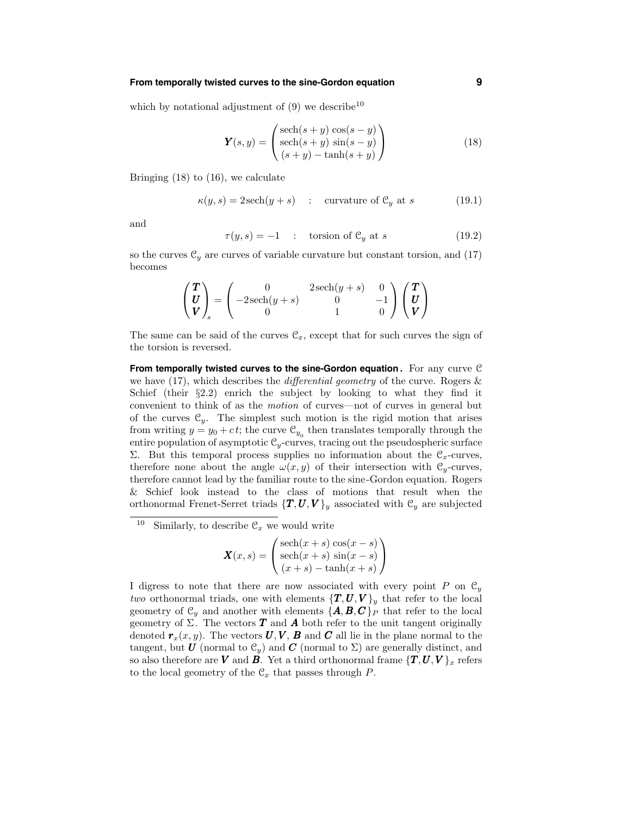#### **From temporally twisted curves to the sine-Gordon equation 9**

which by notational adjustment of  $(9)$  we describe<sup>10</sup>

$$
\mathbf{Y}(s,y) = \begin{pmatrix} \text{sech}(s+y)\cos(s-y) \\ \text{sech}(s+y)\sin(s-y) \\ (s+y) - \tanh(s+y) \end{pmatrix}
$$
(18)

Bringing (18) to (16), we calculate

$$
\kappa(y, s) = 2\operatorname{sech}(y + s) \quad : \quad \text{curvature of } \mathcal{C}_y \text{ at } s \tag{19.1}
$$

and

$$
\tau(y, s) = -1 \quad : \quad \text{torsion of } \mathcal{C}_y \text{ at } s \tag{19.2}
$$

so the curves  $\mathcal{C}_y$  are curves of variable curvature but constant torsion, and (17) becomes

$$
\begin{pmatrix} \boldsymbol{T} \\ \boldsymbol{U} \\ \boldsymbol{V} \end{pmatrix}_{s} = \begin{pmatrix} 0 & 2\operatorname{sech}(y+s) & 0 \\ -2\operatorname{sech}(y+s) & 0 & -1 \\ 0 & 1 & 0 \end{pmatrix} \begin{pmatrix} \boldsymbol{T} \\ \boldsymbol{U} \\ \boldsymbol{V} \end{pmatrix}
$$

The same can be said of the curves  $\mathcal{C}_x$ , except that for such curves the sign of the torsion is reversed.

**From temporally twisted curves to the sine-Gordon equation .** For any curve C we have  $(17)$ , which describes the *differential geometry* of the curve. Rogers & Schief (their §2.2) enrich the subject by looking to what they find it convenient to think of as the motion of curves—not of curves in general but of the curves  $\mathcal{C}_y$ . The simplest such motion is the rigid motion that arises from writing  $y = y_0 + ct$ ; the curve  $\mathcal{C}_{y_0}$  then translates temporally through the entire population of asymptotic  $C_y$ -curves, tracing out the pseudospheric surface Σ. But this temporal process supplies no information about the  $\mathcal{C}_x$ -curves, therefore none about the angle  $\omega(x, y)$  of their intersection with  $\mathcal{C}_y$ -curves, therefore cannot lead by the familiar route to the sine-Gordon equation. Rogers & Schief look instead to the class of motions that result when the orthonormal Frenet-Serret triads  $\{T, U, V\}_y$  associated with  $\mathcal{C}_y$  are subjected

$$
\boldsymbol{X}(x,s) = \begin{pmatrix} \text{sech}(x+s)\cos(x-s) \\ \text{sech}(x+s)\sin(x-s) \\ (x+s) - \tanh(x+s) \end{pmatrix}
$$

I digress to note that there are now associated with every point P on  $\mathcal{C}_y$ two orthonormal triads, one with elements  $\{T, U, V\}_y$  that refer to the local geometry of  $\mathcal{C}_y$  and another with elements  $\{\mathbf{A}, \mathbf{B}, \mathbf{C}\}_P$  that refer to the local geometry of  $\Sigma$ . The vectors **T** and **A** both refer to the unit tangent originally denoted  $r_x(x, y)$ . The vectors  $U, V, B$  and  $C$  all lie in the plane normal to the tangent, but  $\boldsymbol{U}$  (normal to  $\mathfrak{C}_y$ ) and  $\boldsymbol{C}$  (normal to  $\Sigma$ ) are generally distinct, and so also therefore are V and B. Yet a third orthonormal frame  $\{T,U,V\}_x$  refers to the local geometry of the  $\mathcal{C}_x$  that passes through P.

<sup>&</sup>lt;sup>10</sup> Similarly, to describe  $\mathcal{C}_x$  we would write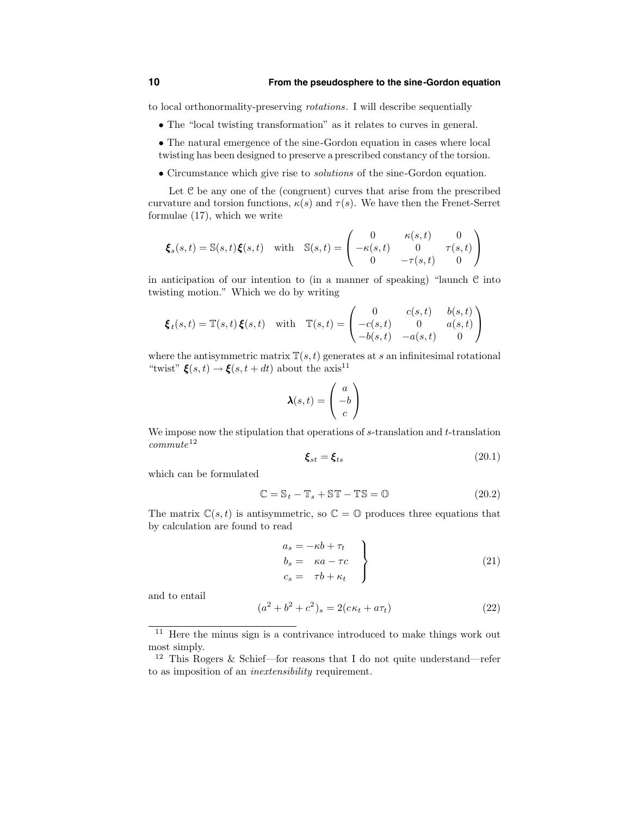to local orthonormality-preserving rotations. I will describe sequentially

- The "local twisting transformation" as it relates to curves in general.
- The natural emergence of the sine-Gordon equation in cases where local twisting has been designed to preserve a prescribed constancy of the torsion.
- Circumstance which give rise to solutions of the sine-Gordon equation.

Let  $C$  be any one of the (congruent) curves that arise from the prescribed curvature and torsion functions,  $\kappa(s)$  and  $\tau(s)$ . We have then the Frenet-Serret formulae (17), which we write

$$
\boldsymbol{\xi}_s(s,t) = \mathbb{S}(s,t)\boldsymbol{\xi}(s,t) \quad \text{with} \quad \mathbb{S}(s,t) = \begin{pmatrix} 0 & \kappa(s,t) & 0 \\ -\kappa(s,t) & 0 & \tau(s,t) \\ 0 & -\tau(s,t) & 0 \end{pmatrix}
$$

in anticipation of our intention to (in a manner of speaking) "launch  $C$  into twisting motion." Which we do by writing

$$
\boldsymbol{\xi}_t(s,t) = \mathbb{T}(s,t) \, \boldsymbol{\xi}(s,t) \quad \text{with} \quad \mathbb{T}(s,t) = \begin{pmatrix} 0 & c(s,t) & b(s,t) \\ -c(s,t) & 0 & a(s,t) \\ -b(s,t) & -a(s,t) & 0 \end{pmatrix}
$$

where the antisymmetric matrix  $\mathbb{T}(s,t)$  generates at s an infinitesimal rotational "twist"  $\xi(s,t) \rightarrow \xi(s,t+dt)$  about the axis<sup>11</sup>

$$
\boldsymbol{\lambda}(s,t) = \begin{pmatrix} a \\ -b \\ c \end{pmatrix}
$$

We impose now the stipulation that operations of s-translation and t-translation  $commute^{12}$ 

$$
\boldsymbol{\xi}_{st} = \boldsymbol{\xi}_{ts} \tag{20.1}
$$

which can be formulated

$$
\mathbb{C} = \mathbb{S}_t - \mathbb{T}_s + \mathbb{ST} - \mathbb{TS} = \mathbb{O}
$$
 (20.2)

The matrix  $\mathbb{C}(s,t)$  is antisymmetric, so  $\mathbb{C} = \mathbb{O}$  produces three equations that by calculation are found to read

$$
a_s = -\kappa b + \tau_t \n b_s = \kappa a - \tau c \n c_s = \tau b + \kappa_t
$$
\n(21)

and to entail

$$
(a2 + b2 + c2)s = 2(c\kappat + a\taut)
$$
\n(22)

 $11$  Here the minus sign is a contrivance introduced to make things work out most simply.

<sup>&</sup>lt;sup>12</sup> This Rogers & Schief—for reasons that I do not quite understand—refer to as imposition of an inextensibility requirement.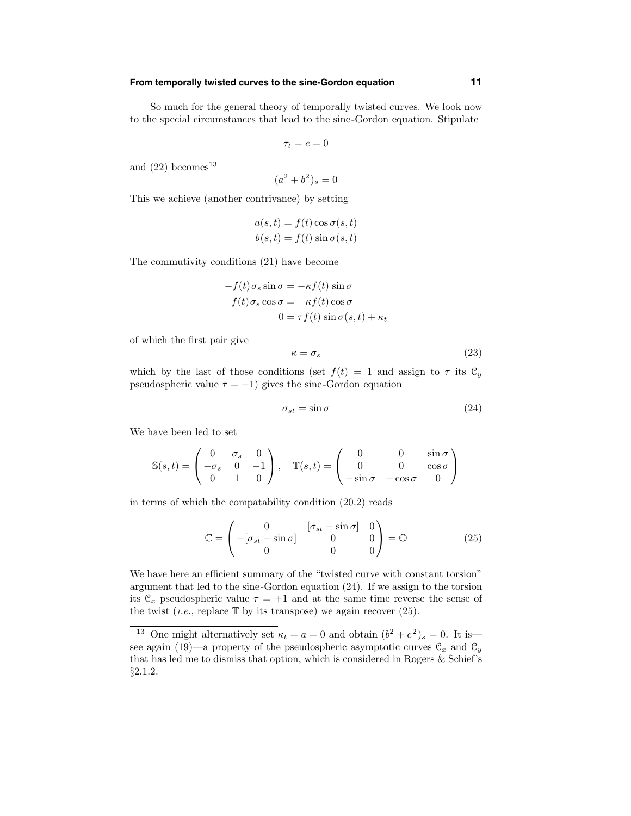# **From temporally twisted curves to the sine-Gordon equation 11**

So much for the general theory of temporally twisted curves. We look now to the special circumstances that lead to the sine-Gordon equation. Stipulate

$$
\tau_t = c = 0
$$

and  $(22)$  becomes<sup>13</sup>

$$
(a^2 + b^2)_s = 0
$$

This we achieve (another contrivance) by setting

$$
a(s,t) = f(t)\cos\sigma(s,t)
$$
  

$$
b(s,t) = f(t)\sin\sigma(s,t)
$$

The commutivity conditions (21) have become

$$
-f(t)\sigma_s \sin \sigma = -\kappa f(t) \sin \sigma
$$
  

$$
f(t)\sigma_s \cos \sigma = \kappa f(t) \cos \sigma
$$
  

$$
0 = \tau f(t) \sin \sigma(s, t) + \kappa_t
$$

of which the first pair give

$$
\kappa = \sigma_s \tag{23}
$$

which by the last of those conditions (set  $f(t) = 1$  and assign to  $\tau$  its  $\mathcal{C}_y$ pseudospheric value  $\tau = -1$ ) gives the sine-Gordon equation

$$
\sigma_{st} = \sin \sigma \tag{24}
$$

We have been led to set

$$
\mathbb{S}(s,t) = \begin{pmatrix} 0 & \sigma_s & 0 \\ -\sigma_s & 0 & -1 \\ 0 & 1 & 0 \end{pmatrix}, \quad \mathbb{T}(s,t) = \begin{pmatrix} 0 & 0 & \sin \sigma \\ 0 & 0 & \cos \sigma \\ -\sin \sigma & -\cos \sigma & 0 \end{pmatrix}
$$

in terms of which the compatability condition (20.2) reads

$$
\mathbb{C} = \begin{pmatrix} 0 & [\sigma_{st} - \sin \sigma] & 0 \\ -[\sigma_{st} - \sin \sigma] & 0 & 0 \\ 0 & 0 & 0 \end{pmatrix} = \mathbb{O}
$$
 (25)

We have here an efficient summary of the "twisted curve with constant torsion" argument that led to the sine-Gordon equation (24). If we assign to the torsion its  $\mathcal{C}_x$  pseudospheric value  $\tau = +1$  and at the same time reverse the sense of the twist (*i.e.*, replace  $\mathbb T$  by its transpose) we again recover (25).

<sup>&</sup>lt;sup>13</sup> One might alternatively set  $\kappa_t = a = 0$  and obtain  $(b^2 + c^2)_s = 0$ . It is see again (19)—a property of the pseudospheric asymptotic curves  $\mathfrak{C}_x$  and  $\mathfrak{C}_y$ that has led me to dismiss that option, which is considered in Rogers & Schief's §2.1.2.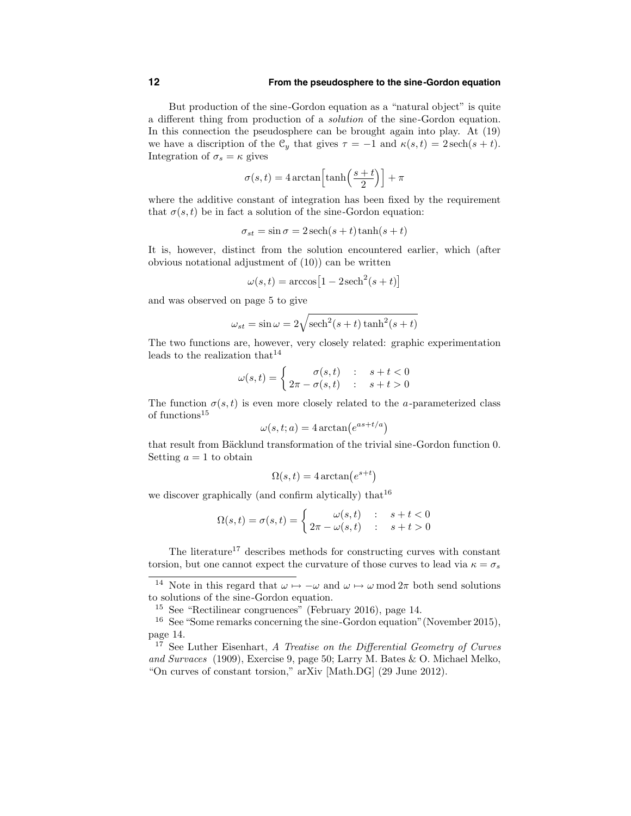#### **12 From the pseudosphere to the sine-Gordon equation**

But production of the sine-Gordon equation as a "natural object" is quite a different thing from production of a solution of the sine-Gordon equation. In this connection the pseudosphere can be brought again into play. At (19) we have a discription of the  $C_y$  that gives  $\tau = -1$  and  $\kappa(s,t) = 2 \text{sech}(s+t)$ . Integration of  $\sigma_s = \kappa$  gives

$$
\sigma(s,t) = 4 \arctan\left[\tanh\left(\frac{s+t}{2}\right)\right] + \pi
$$

where the additive constant of integration has been fixed by the requirement that  $\sigma(s,t)$  be in fact a solution of the sine-Gordon equation:

$$
\sigma_{st} = \sin \sigma = 2 \operatorname{sech}(s+t) \tanh(s+t)
$$

It is, however, distinct from the solution encountered earlier, which (after obvious notational adjustment of (10)) can be written

$$
\omega(s,t) = \arccos[1 - 2\,\text{sech}^2(s+t)]
$$

and was observed on page 5 to give

$$
\omega_{st} = \sin \omega = 2\sqrt{\text{sech}^2(s+t)\tanh^2(s+t)}
$$

The two functions are, however, very closely related: graphic experimentation leads to the realization that  $14$ 

$$
\omega(s,t)=\left\{\begin{array}{lcl} \sigma(s,t) & : & s+t<0\\ 2\pi-\sigma(s,t) & : & s+t>0 \end{array}\right.
$$

The function  $\sigma(s,t)$  is even more closely related to the a-parameterized class of functions<sup>15</sup>

$$
\omega(s, t; a) = 4 \arctan(e^{as + t/a})
$$

that result from Bäcklund transformation of the trivial sine-Gordon function 0. Setting  $a = 1$  to obtain

$$
\Omega(s, t) = 4 \arctan(e^{s+t})
$$

we discover graphically (and confirm alytically) that  $16$ 

$$
\Omega(s,t)=\sigma(s,t)=\left\{\begin{array}{lcl} \omega(s,t) & : & s+t<0\\ 2\pi-\omega(s,t) & : & s+t>0 \end{array}\right.
$$

The literature<sup>17</sup> describes methods for constructing curves with constant torsion, but one cannot expect the curvature of those curves to lead via  $\kappa = \sigma_s$ 

<sup>&</sup>lt;sup>14</sup> Note in this regard that  $\omega \mapsto -\omega$  and  $\omega \mapsto \omega$  mod  $2\pi$  both send solutions to solutions of the sine-Gordon equation.

<sup>15</sup> See "Rectilinear congruences" (February 2016), page 14.

<sup>16</sup> See"Some remarks concerning the sine-Gordon equation"(November 2015), page 14.

 $17$  See Luther Eisenhart, A Treatise on the Differential Geometry of Curves and Survaces (1909), Exercise 9, page 50; Larry M. Bates  $& O.$  Michael Melko, "On curves of constant torsion," arXiv [Math.DG] (29 June 2012).